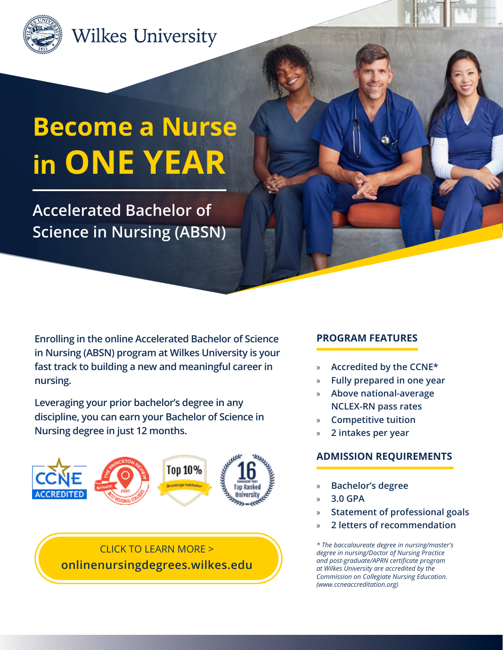

# **Wilkes University**

# **Become a Nurse in ONE YEAR**

**Accelerated Bachelor of Science in Nursing (ABSN)**

**Enrolling in the online Accelerated Bachelor of Science in Nursing (ABSN) program at Wilkes University is your fast track to building a new and meaningful career in nursing.** 

**Leveraging your prior bachelor's degree in any discipline, you can earn your Bachelor of Science in Nursing degree in just 12 months.** 



CLICK TO LEARN MORE > **[onlinenursingdegrees.wilkes.edu](https://onlinenursingdegrees.wilkes.edu/programs/accelerated-bsn-programs)**

### **PROGRAM FEATURES**

- » **Accredited by the CCNE\***
- » **Fully prepared in one year**
- » **Above national-average NCLEX-RN pass rates**
- » **Competitive tuition**
- » **2 intakes per year**

#### **ADMISSION REQUIREMENTS**

- » **Bachelor's degree**
- » **3.0 GPA**
- » **Statement of professional goals**
- » **2 letters of recommendation**

*\* The baccalaureate degree in nursing/master's degree in nursing/Doctor of Nursing Practice and post-graduate/APRN certificate program at Wilkes University are accredited by the Commission on Collegiate Nursing Education. (www.ccneaccreditation.org)*